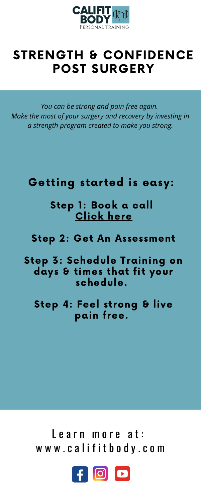

## STRENGTH & CONFIDENCE POST SURGERY

## Learn [m](http://www.califitbody.com/)ore at: w w w . c a l i f i t b o d y . c o m



Getting started is easy:

Step 1: Book a call Click here

Step 2: Get An [Assessment](https://calendly.com/califitbody/discoverycall15)

Step 3: Schedule Training on days & times that fit your schedule.

### Step 4: Feel strong & live pain free.

*You can be strong and pain free again. Make the most of your surgery and recovery by investing in a strength program created to make you strong.*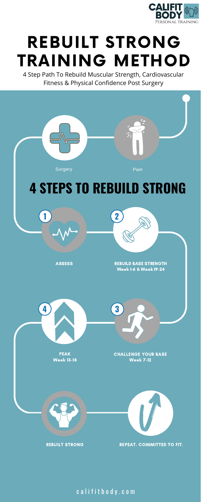

## REBUILT STRONG TRAINING METHOD





CHALLENGE YOUR BASE Week 7-12





REBUILT STRONG REPEAT. COMMITTED TO FIT.

c a lifit b o d y . c o m

**4 3**

4 Step Path To Rebuild Muscular Strength, Cardiovascular Fitness & Physical Confidence Post Surgery